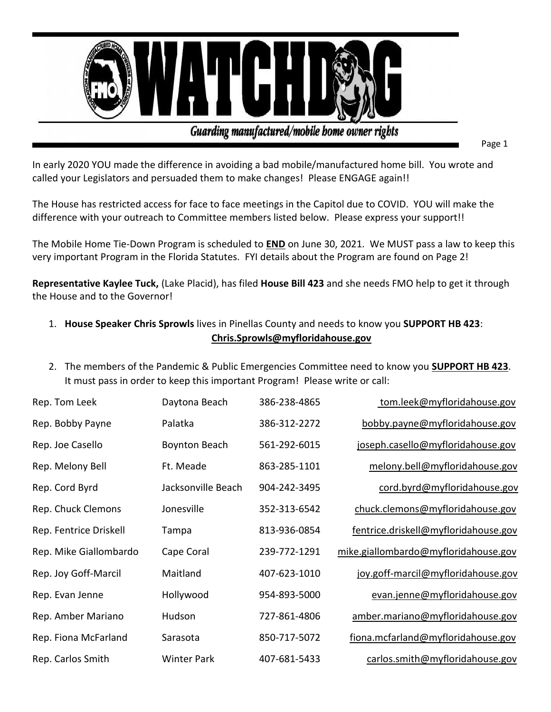

Guarding manufactured/mobile bome owner rights

Page 1

In early 2020 YOU made the difference in avoiding a bad mobile/manufactured home bill. You wrote and called your Legislators and persuaded them to make changes! Please ENGAGE again!!

The House has restricted access for face to face meetings in the Capitol due to COVID. YOU will make the difference with your outreach to Committee members listed below. Please express your support!!

The Mobile Home Tie-Down Program is scheduled to **END** on June 30, 2021. We MUST pass a law to keep this very important Program in the Florida Statutes. FYI details about the Program are found on Page 2!

**Representative Kaylee Tuck,** (Lake Placid), has filed **House Bill 423** and she needs FMO help to get it through the House and to the Governor!

- 1. **House Speaker Chris Sprowls** lives in Pinellas County and needs to know you **SUPPORT HB 423**: **[Chris.Sprowls@myfloridahouse.gov](mailto:Chris.Sprowls@myfloridahouse.gov)**
- 2. The members of the Pandemic & Public Emergencies Committee need to know you **SUPPORT HB 423**. It must pass in order to keep this important Program! Please write or call:

| Rep. Tom Leek          | Daytona Beach        | 386-238-4865 | tom.leek@myfloridahouse.gov          |
|------------------------|----------------------|--------------|--------------------------------------|
| Rep. Bobby Payne       | Palatka              | 386-312-2272 | bobby.payne@myfloridahouse.gov       |
| Rep. Joe Casello       | <b>Boynton Beach</b> | 561-292-6015 | joseph.casello@myfloridahouse.gov    |
| Rep. Melony Bell       | Ft. Meade            | 863-285-1101 | melony.bell@myfloridahouse.gov       |
| Rep. Cord Byrd         | Jacksonville Beach   | 904-242-3495 | cord.byrd@myfloridahouse.gov         |
| Rep. Chuck Clemons     | Jonesville           | 352-313-6542 | chuck.clemons@myfloridahouse.gov     |
| Rep. Fentrice Driskell | Tampa                | 813-936-0854 | fentrice.driskell@myfloridahouse.gov |
| Rep. Mike Giallombardo | Cape Coral           | 239-772-1291 | mike.giallombardo@myfloridahouse.gov |
| Rep. Joy Goff-Marcil   | Maitland             | 407-623-1010 | joy.goff-marcil@myfloridahouse.gov   |
| Rep. Evan Jenne        | Hollywood            | 954-893-5000 | evan.jenne@myfloridahouse.gov        |
| Rep. Amber Mariano     | Hudson               | 727-861-4806 | amber.mariano@myfloridahouse.gov     |
| Rep. Fiona McFarland   | Sarasota             | 850-717-5072 | fiona.mcfarland@myfloridahouse.gov   |
| Rep. Carlos Smith      | <b>Winter Park</b>   | 407-681-5433 | carlos.smith@myfloridahouse.gov      |